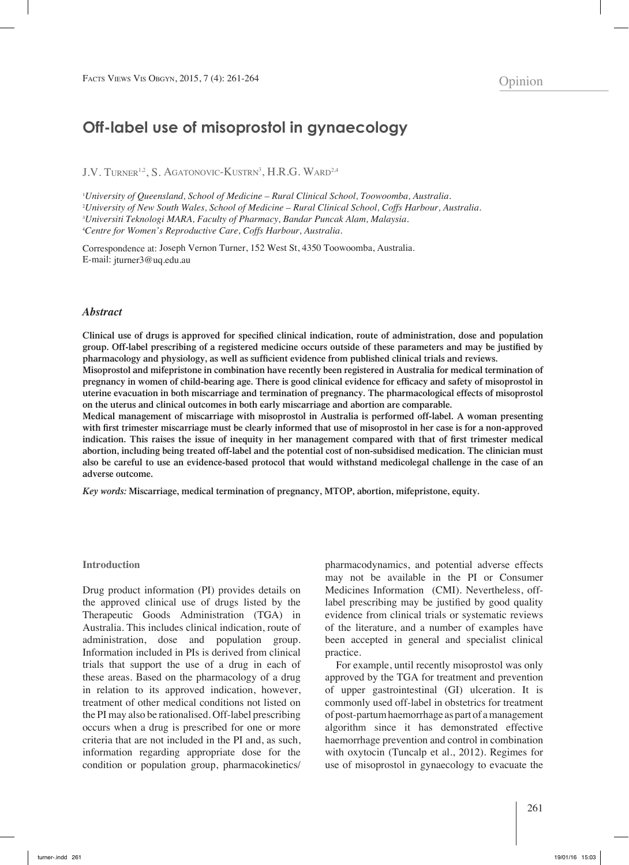# **Off-label use of misoprostol in gynaecology**

J.V. Turner<sup>1,2</sup>, S. Agatonovic-Kustrn<sup>3</sup>, H.R.G. Ward<sup>2,4</sup>

 *University of Queensland, School of Medicine – Rural Clinical School, Toowoomba, Australia. University of New South Wales, School of Medicine – Rural Clinical School, Coffs Harbour, Australia. Universiti Teknologi MARA, Faculty of Pharmacy, Bandar Puncak Alam, Malaysia. Centre for Women's Reproductive Care, Coffs Harbour, Australia.*

Correspondence at: Joseph Vernon Turner, 152 West St, 4350 Toowoomba, Australia. E-mail: jturner3@uq.edu.au

#### *Abstract*

**Clinical use of drugs is approved for specified clinical indication, route of administration, dose and population group. Off-label prescribing of a registered medicine occurs outside of these parameters and may be justified by pharmacology and physiology, as well as sufficient evidence from published clinical trials and reviews.**

**Misoprostol and mifepristone in combination have recently been registered in Australia for medical termination of pregnancy in women of child-bearing age. There is good clinical evidence for efficacy and safety of misoprostol in uterine evacuation in both miscarriage and termination of pregnancy. The pharmacological effects of misoprostol on the uterus and clinical outcomes in both early miscarriage and abortion are comparable.**

**Medical management of miscarriage with misoprostol in Australia is performed off-label. A woman presenting with first trimester miscarriage must be clearly informed that use of misoprostol in her case is for a non-approved indication. This raises the issue of inequity in her management compared with that of first trimester medical abortion, including being treated off-label and the potential cost of non-subsidised medication. The clinician must also be careful to use an evidence-based protocol that would withstand medicolegal challenge in the case of an adverse outcome.**

*Key words:* **Miscarriage, medical termination of pregnancy, MTOP, abortion, mifepristone, equity.**

#### **Introduction**

Drug product information (PI) provides details on the approved clinical use of drugs listed by the Therapeutic Goods Administration (TGA) in Australia. This includes clinical indication, route of administration, dose and population group. Information included in PIs is derived from clinical trials that support the use of a drug in each of these areas. Based on the pharmacology of a drug in relation to its approved indication, however, treatment of other medical conditions not listed on the PI may also be rationalised. Off-label prescribing occurs when a drug is prescribed for one or more criteria that are not included in the PI and, as such, information regarding appropriate dose for the condition or population group, pharmacokinetics/

pharmacodynamics, and potential adverse effects may not be available in the PI or Consumer Medicines Information (CMI). Nevertheless, offlabel prescribing may be justified by good quality evidence from clinical trials or systematic reviews of the literature, and a number of examples have been accepted in general and specialist clinical practice.

For example, until recently misoprostol was only approved by the TGA for treatment and prevention of upper gastrointestinal (GI) ulceration. It is commonly used off-label in obstetrics for treatment of post-partum haemorrhage as part of a management algorithm since it has demonstrated effective haemorrhage prevention and control in combination with oxytocin (Tuncalp et al., 2012). Regimes for use of misoprostol in gynaecology to evacuate the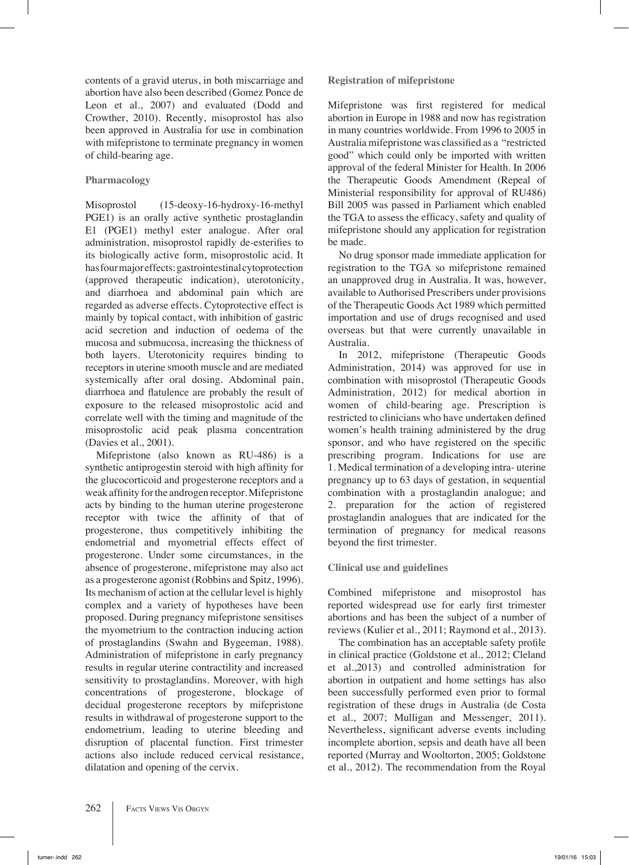contents of a gravid uterus, in both miscarriage and abortion have also been described (Gomez Ponce de Leon et al., 2007) and evaluated (Dodd and Crowther, 2010). Recently, misoprostol has also been approved in Australia for use in combination with mifepristone to terminate pregnancy in women of child-bearing age.

## **Pharmacology**

Misoprostol (15-deoxy-16-hydroxy-16-methyl PGE1) is an orally active synthetic prostaglandin E1 (PGE1) methyl ester analogue. After oral administration, misoprostol rapidly de-esterifies to its biologically active form, misoprostolic acid. It has four major effects: gastrointestinalcytoprotection (approved therapeutic indication), uterotonicity, and diarrhoea and abdominal pain which are regarded as adverse effects. Cytoprotective effect is mainly by topical contact, with inhibition of gastric acid secretion and induction of oedema of the mucosa and submucosa, increasing the thickness of both layers. Uterotonicity requires binding to receptors in uterine smooth muscle and are mediated systemically after oral dosing. Abdominal pain, diarrhoea and flatulence are probably the result of exposure to the released misoprostolic acid and correlate well with the timing and magnitude of the misoprostolic acid peak plasma concentration (Davies et al., 2001).

Mifepristone (also known as RU-486) is a synthetic antiprogestin steroid with high affinity for the glucocorticoid and progesterone receptors and a weak affinity for the androgen receptor.Mifepristone acts by binding to the human uterine progesterone receptor with twice the affinity of that of progesterone, thus competitively inhibiting the endometrial and myometrial effects effect of progesterone. Under some circumstances, in the absence of progesterone, mifepristone may also act as a progesterone agonist (Robbins and Spitz, 1996). Its mechanism of action at the cellular level is highly complex and a variety of hypotheses have been proposed. During pregnancy mifepristone sensitises the myometrium to the contraction inducing action of prostaglandins (Swahn and Bygeeman, 1988). Administration of mifepristone in early pregnancy results in regular uterine contractility and increased sensitivity to prostaglandins. Moreover, with high concentrations of progesterone, blockage of decidual progesterone receptors by mifepristone results in withdrawal of progesterone support to the endometrium, leading to uterine bleeding and disruption of placental function. First trimester actions also include reduced cervical resistance, dilatation and opening of the cervix.

**Registration of mifepristone**

Mifepristone was first registered for medical abortion in Europe in 1988 and now has registration in many countries worldwide. From 1996 to 2005 in Australia mifepristone was classified as a "restricted good" which could only be imported with written approval of the federal Minister for Health. In 2006 the Therapeutic Goods Amendment (Repeal of Ministerial responsibility for approval of RU486) Bill 2005 was passed in Parliament which enabled the TGA to assess the efficacy, safety and quality of mifepristone should any application for registration be made.

No drug sponsor made immediate application for registration to the TGA so mifepristone remained an unapproved drug in Australia. It was, however, available to Authorised Prescribers under provisions of the Therapeutic Goods Act 1989 which permitted importation and use of drugs recognised and used overseas but that were currently unavailable in Australia.

In 2012, mifepristone (Therapeutic Goods Administration, 2014) was approved for use in combination with misoprostol (Therapeutic Goods Administration, 2012) for medical abortion in women of child-bearing age. Prescription is restricted to clinicians who have undertaken defined women's health training administered by the drug sponsor, and who have registered on the specific prescribing program. Indications for use are 1. Medical termination of a developing intra- uterine pregnancy up to 63 days of gestation, in sequential combination with a prostaglandin analogue; and 2. preparation for the action of registered prostaglandin analogues that are indicated for the termination of pregnancy for medical reasons beyond the first trimester.

# **Clinical use and guidelines**

Combined mifepristone and misoprostol has reported widespread use for early first trimester abortions and has been the subject of a number of reviews (Kulier et al., 2011; Raymond et al., 2013).

The combination has an acceptable safety profile in clinical practice (Goldstone et al., 2012; Cleland et al.,2013) and controlled administration for abortion in outpatient and home settings has also been successfully performed even prior to formal registration of these drugs in Australia (de Costa et al., 2007; Mulligan and Messenger, 2011). Nevertheless, significant adverse events including incomplete abortion, sepsis and death have all been reported (Murray and Wooltorton, 2005; Goldstone et al., 2012). The recommendation from the Royal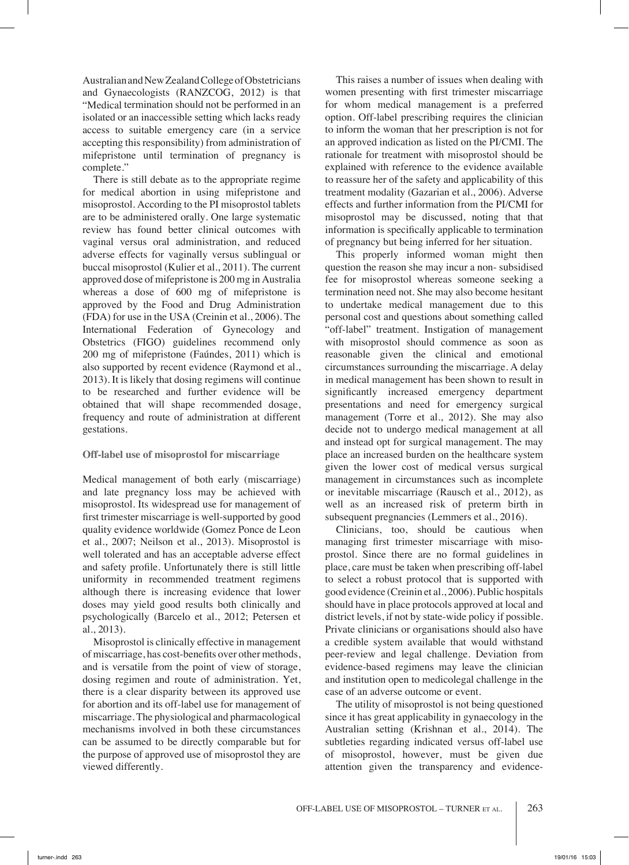Australian and NewZealand College of Obstetricians and Gynaecologists (RANZCOG, 2012) is that "Medical termination should not be performed in an isolated or an inaccessible setting which lacks ready access to suitable emergency care (in a service accepting this responsibility) from administration of mifepristone until termination of pregnancy is complete."

There is still debate as to the appropriate regime for medical abortion in using mifepristone and misoprostol. According to the PI misoprostol tablets are to be administered orally. One large systematic review has found better clinical outcomes with vaginal versus oral administration, and reduced adverse effects for vaginally versus sublingual or buccal misoprostol (Kulier et al., 2011). The current approved dose of mifepristone is 200 mg in Australia whereas a dose of 600 mg of mifepristone is approved by the Food and Drug Administration (FDA) for use in the USA (Creinin et al., 2006). The International Federation of Gynecology and Obstetrics (FIGO) guidelines recommend only 200 mg of mifepristone (Faúndes, 2011) which is also supported by recent evidence (Raymond et al., 2013). It is likely that dosing regimens will continue to be researched and further evidence will be obtained that will shape recommended dosage, frequency and route of administration at different gestations.

### **Off-label use of misoprostol for miscarriage**

Medical management of both early (miscarriage) and late pregnancy loss may be achieved with misoprostol. Its widespread use for management of first trimester miscarriage is well-supported by good quality evidence worldwide (Gomez Ponce de Leon et al., 2007; Neilson et al., 2013). Misoprostol is well tolerated and has an acceptable adverse effect and safety profile. Unfortunately there is still little uniformity in recommended treatment regimens although there is increasing evidence that lower doses may yield good results both clinically and psychologically (Barcelo et al., 2012; Petersen et al., 2013).

Misoprostol is clinically effective in management of miscarriage, has cost-benefits over other methods, and is versatile from the point of view of storage, dosing regimen and route of administration. Yet, there is a clear disparity between its approved use for abortion and its off-label use for management of miscarriage. The physiological and pharmacological mechanisms involved in both these circumstances can be assumed to be directly comparable but for the purpose of approved use of misoprostol they are viewed differently.

This raises a number of issues when dealing with women presenting with first trimester miscarriage for whom medical management is a preferred option. Off-label prescribing requires the clinician to inform the woman that her prescription is not for an approved indication as listed on the PI/CMI. The rationale for treatment with misoprostol should be explained with reference to the evidence available to reassure her of the safety and applicability of this treatment modality (Gazarian et al., 2006). Adverse effects and further information from the PI/CMI for misoprostol may be discussed, noting that that information is specifically applicable to termination of pregnancy but being inferred for her situation.

This properly informed woman might then question the reason she may incur a non- subsidised fee for misoprostol whereas someone seeking a termination need not. She may also become hesitant to undertake medical management due to this personal cost and questions about something called "off-label" treatment. Instigation of management with misoprostol should commence as soon as reasonable given the clinical and emotional circumstances surrounding the miscarriage. A delay in medical management has been shown to result in significantly increased emergency department presentations and need for emergency surgical management (Torre et al., 2012). She may also decide not to undergo medical management at all and instead opt for surgical management. The may place an increased burden on the healthcare system given the lower cost of medical versus surgical management in circumstances such as incomplete or inevitable miscarriage (Rausch et al., 2012), as well as an increased risk of preterm birth in subsequent pregnancies (Lemmers et al., 2016).

Clinicians, too, should be cautious when managing first trimester miscarriage with misoprostol. Since there are no formal guidelines in place, care must be taken when prescribing off-label to select a robust protocol that is supported with good evidence (Creinin et al., 2006). Public hospitals should have in place protocols approved at local and district levels, if not by state-wide policy if possible. Private clinicians or organisations should also have a credible system available that would withstand peer-review and legal challenge. Deviation from evidence-based regimens may leave the clinician and institution open to medicolegal challenge in the case of an adverse outcome or event.

The utility of misoprostol is not being questioned since it has great applicability in gynaecology in the Australian setting (Krishnan et al., 2014). The subtleties regarding indicated versus off-label use of misoprostol, however, must be given due attention given the transparency and evidence